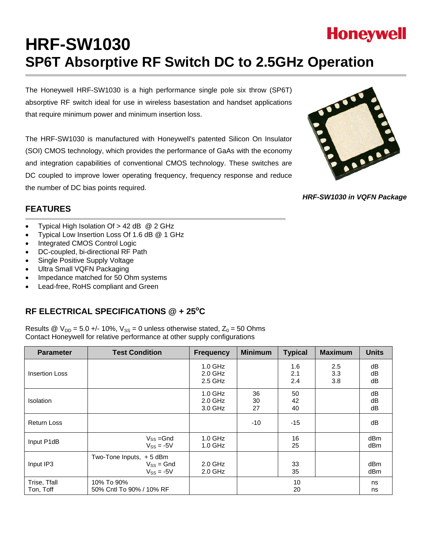# **HRF-SW1030 SP6T Absorptive RF Switch DC to 2.5GHz Operation**

The Honeywell HRF-SW1030 is a high performance single pole six throw (SP6T) absorptive RF switch ideal for use in wireless basestation and handset applications that require minimum power and minimum insertion loss.

The HRF-SW1030 is manufactured with Honeywell's patented Silicon On Insulator (SOI) CMOS technology, which provides the performance of GaAs with the economy and integration capabilities of conventional CMOS technology. These switches are DC coupled to improve lower operating frequency, frequency response and reduce the number of DC bias points required.



*HRF-SW1030 in VQFN Package* 

## **FEATURES**

- Typical High Isolation Of > 42 dB @ 2 GHz
- Typical Low Insertion Loss Of 1.6 dB @ 1 GHz
- Integrated CMOS Control Logic
- DC-coupled, bi-directional RF Path
- Single Positive Supply Voltage
- Ultra Small VQFN Packaging
- Impedance matched for 50 Ohm systems
- Lead-free, RoHS compliant and Green

## RF ELECTRICAL SPECIFICATIONS @ + 25°C

Results @  $V_{DD} = 5.0 +/- 10\%$ ,  $V_{SS} = 0$  unless otherwise stated,  $Z_0 = 50$  Ohms Contact Honeywell for relative performance at other supply configurations

| <b>Parameter</b>          | <b>Test Condition</b>                                         | <b>Frequency</b>                    | <b>Minimum</b> | <b>Typical</b>    | <b>Maximum</b>    | <b>Units</b>   |
|---------------------------|---------------------------------------------------------------|-------------------------------------|----------------|-------------------|-------------------|----------------|
| <b>Insertion Loss</b>     |                                                               | $1.0$ GHz<br>$2.0$ GHz<br>$2.5$ GHz |                | 1.6<br>2.1<br>2.4 | 2.5<br>3.3<br>3.8 | dB<br>dB<br>dB |
| <b>Isolation</b>          |                                                               | $1.0$ GHz<br>$2.0$ GHz<br>3.0 GHz   | 36<br>30<br>27 | 50<br>42<br>40    |                   | dB<br>dB<br>dB |
| <b>Return Loss</b>        |                                                               |                                     | $-10$          | $-15$             |                   | dB             |
| Input P1dB                | $V_{SS} = Gnd$<br>$V_{SS} = -5V$                              | $1.0$ GHz<br>$1.0$ GHz              |                | 16<br>25          |                   | dBm<br>dBm     |
| Input IP3                 | Two-Tone Inputs, $+5$ dBm<br>$V_{SS}$ = Gnd<br>$V_{SS} = -5V$ | $2.0$ GHz<br>$2.0$ GHz              |                | 33<br>35          |                   | dBm<br>dBm     |
| Trise, Tfall<br>Ton, Toff | 10% To 90%<br>50% Cntl To 90% / 10% RF                        |                                     |                | 10<br>20          |                   | ns<br>ns       |

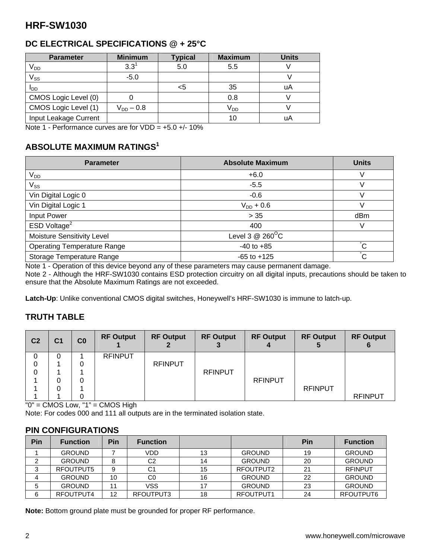## **DC ELECTRICAL SPECIFICATIONS @ + 25°C**

| <b>Parameter</b>      | <b>Minimum</b> | <b>Typical</b> | <b>Maximum</b>  | <b>Units</b> |
|-----------------------|----------------|----------------|-----------------|--------------|
| V <sub>DD</sub>       | $3.3^1$        | 5.0            | 5.5             |              |
| $V_{SS}$              | $-5.0$         |                |                 |              |
| I <sub>DD</sub>       |                | <5             | 35              | uA           |
| CMOS Logic Level (0)  |                |                | 0.8             |              |
| CMOS Logic Level (1)  | $V_{DD} - 0.8$ |                | V <sub>DD</sub> |              |
| Input Leakage Current |                |                | 10              | uA           |

Note 1 - Performance curves are for  $VDD = +5.0 +$  - 10%

## **ABSOLUTE MAXIMUM RATINGS1**

| <b>Parameter</b>                   | <b>Absolute Maximum</b>      | <b>Units</b>   |
|------------------------------------|------------------------------|----------------|
| $V_{DD}$                           | $+6.0$                       | ν              |
| $V_{SS}$                           | $-5.5$                       | V              |
| Vin Digital Logic 0                | $-0.6$                       | ν              |
| Vin Digital Logic 1                | $V_{DD}$ + 0.6               |                |
| Input Power                        | > 35                         | dBm            |
| ESD Voltage <sup>2</sup>           | 400                          | V              |
| Moisture Sensitivity Level         | Level 3 $@$ 260 $^{\circ}$ C |                |
| <b>Operating Temperature Range</b> | $-40$ to $+85$               | $\overline{C}$ |
| Storage Temperature Range          | $-65$ to $+125$              | $\overline{c}$ |

Note 1 - Operation of this device beyond any of these parameters may cause permanent damage.

Note 2 - Although the HRF-SW1030 contains ESD protection circuitry on all digital inputs, precautions should be taken to ensure that the Absolute Maximum Ratings are not exceeded.

**Latch-Up**: Unlike conventional CMOS digital switches, Honeywell's HRF-SW1030 is immune to latch-up.

#### **TRUTH TABLE**

| C <sub>2</sub> | C <sub>1</sub> | C <sub>0</sub> | <b>RF Output</b> | <b>RF Output</b> | <b>RF Output</b> | <b>RF Output</b> | <b>RF Output</b> | <b>RF Output</b> |
|----------------|----------------|----------------|------------------|------------------|------------------|------------------|------------------|------------------|
| 0              |                |                | <b>RFINPUT</b>   |                  |                  |                  |                  |                  |
| 0              |                | 0              |                  | <b>RFINPUT</b>   |                  |                  |                  |                  |
| 0              |                |                |                  |                  | <b>RFINPUT</b>   |                  |                  |                  |
|                | 0              | 0              |                  |                  |                  | <b>RFINPUT</b>   |                  |                  |
|                | 0              |                |                  |                  |                  |                  | <b>RFINPUT</b>   |                  |
|                |                |                |                  |                  |                  |                  |                  | <b>RFINPUT</b>   |

 $"0" = CMOS Low, "1" = CMOS High$ 

Note: For codes 000 and 111 all outputs are in the terminated isolation state.

#### **PIN CONFIGURATIONS**

| Pin | <b>Function</b> | <b>Pin</b> | <b>Function</b> |    |               | Pin | <b>Function</b> |
|-----|-----------------|------------|-----------------|----|---------------|-----|-----------------|
|     | <b>GROUND</b>   |            | VDD             |    | <b>GROUND</b> | 19  | <b>GROUND</b>   |
|     | <b>GROUND</b>   |            | C2              | 14 | <b>GROUND</b> | 20  | <b>GROUND</b>   |
|     | RFOUTPUT5       | 9          | C <sub>1</sub>  | 15 | RFOUTPUT2     | 21  | <b>RFINPUT</b>  |
|     | <b>GROUND</b>   | 10         | C <sub>0</sub>  | 16 | <b>GROUND</b> | 22  | <b>GROUND</b>   |
| 5   | <b>GROUND</b>   | 11         | <b>VSS</b>      |    | <b>GROUND</b> | 23  | <b>GROUND</b>   |
| 6   | RFOUTPUT4       | 12         | RFOUTPUT3       | 18 | RFOUTPUT1     | 24  | RFOUTPUT6       |

**Note:** Bottom ground plate must be grounded for proper RF performance.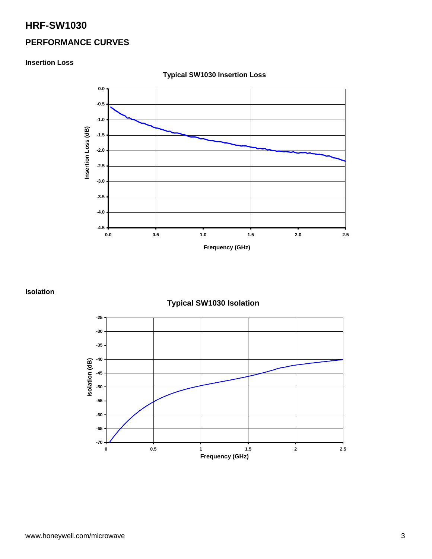#### **PERFORMANCE CURVES**

#### **Insertion Loss**



**Typical SW1030 Insertion Loss** 

**Isolation** 

**Typical SW1030 Isolation** 

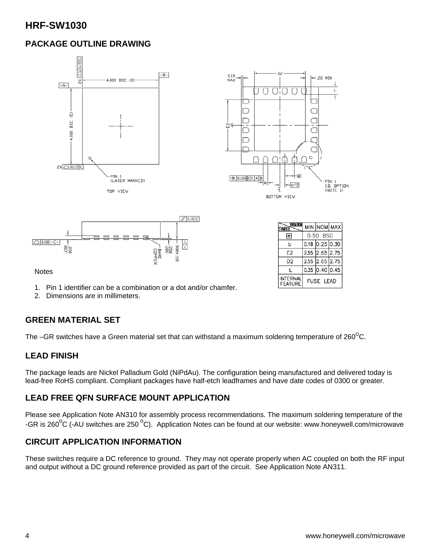## **PACKAGE OUTLINE DRAWING**



Notes

- 1. Pin 1 identifier can be a combination or a dot and/or chamfer.
- 2. Dimensions are in millimeters.

#### **GREEN MATERIAL SET**

The –GR switches have a Green material set that can withstand a maximum soldering temperature of  $260^{\circ}$ C.

#### **LEAD FINISH**

The package leads are Nickel Palladium Gold (NiPdAu). The configuration being manufactured and delivered today is lead-free RoHS compliant. Compliant packages have half-etch leadframes and have date codes of 0300 or greater.

**INTERNAL** 

**FEATURE** 

**FUSE LEAD** 

#### **LEAD FREE QFN SURFACE MOUNT APPLICATION**

Please see Application Note AN310 for assembly process recommendations. The maximum soldering temperature of the -GR is 260<sup>o</sup>C (-AU switches are 250<sup>o</sup>C). Application Notes can be found at our website: www.honeywell.com/microwave

#### **CIRCUIT APPLICATION INFORMATION**

These switches require a DC reference to ground. They may not operate properly when AC coupled on both the RF input and output without a DC ground reference provided as part of the circuit. See Application Note AN311.